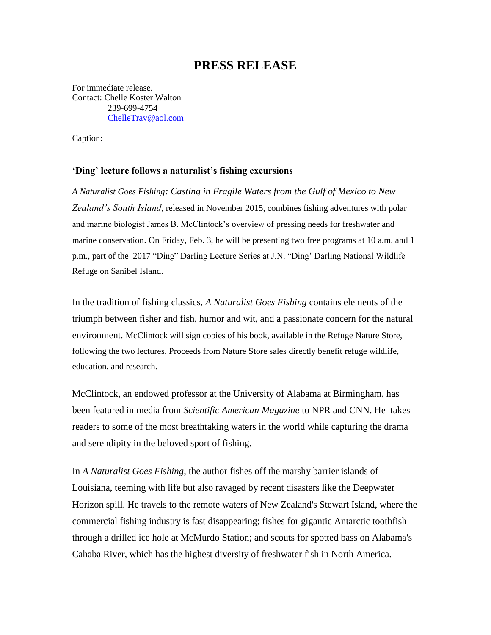## **PRESS RELEASE**

For immediate release. Contact: Chelle Koster Walton 239-699-4754 [ChelleTrav@aol.com](mailto:ChelleTrav@aol.com)

Caption:

## **'Ding' lecture follows a naturalist's fishing excursions**

*A Naturalist Goes Fishing: Casting in Fragile Waters from the Gulf of Mexico to New Zealand's South Island*, released in November 2015, combines fishing adventures with polar and marine biologist James B. McClintock's overview of pressing needs for freshwater and marine conservation. On Friday, Feb. 3, he will be presenting two free programs at 10 a.m. and 1 p.m., part of the 2017 "Ding" Darling Lecture Series at J.N. "Ding' Darling National Wildlife Refuge on Sanibel Island.

In the tradition of fishing classics, *A Naturalist Goes Fishing* contains elements of the triumph between fisher and fish, humor and wit, and a passionate concern for the natural environment. McClintock will sign copies of his book, available in the Refuge Nature Store, following the two lectures. Proceeds from Nature Store sales directly benefit refuge wildlife, education, and research.

McClintock, an endowed professor at the University of Alabama at Birmingham, has been featured in media from *Scientific American Magazine* to NPR and CNN. He takes readers to some of the most breathtaking waters in the world while capturing the drama and serendipity in the beloved sport of fishing.

In *A Naturalist Goes Fishing*, the author fishes off the marshy barrier islands of Louisiana, teeming with life but also ravaged by recent disasters like the Deepwater Horizon spill. He travels to the remote waters of New Zealand's Stewart Island, where the commercial fishing industry is fast disappearing; fishes for gigantic Antarctic toothfish through a drilled ice hole at McMurdo Station; and scouts for spotted bass on Alabama's Cahaba River, which has the highest diversity of freshwater fish in North America.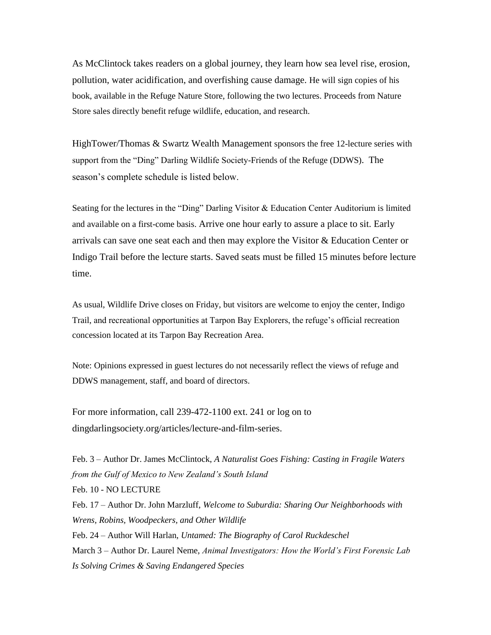As McClintock takes readers on a global journey, they learn how sea level rise, erosion, pollution, water acidification, and overfishing cause damage. He will sign copies of his book, available in the Refuge Nature Store, following the two lectures. Proceeds from Nature Store sales directly benefit refuge wildlife, education, and research.

HighTower/Thomas & Swartz Wealth Management sponsors the free 12-lecture series with support from the "Ding" Darling Wildlife Society-Friends of the Refuge (DDWS). The season's complete schedule is listed below.

Seating for the lectures in the "Ding" Darling Visitor & Education Center Auditorium is limited and available on a first-come basis. Arrive one hour early to assure a place to sit. Early arrivals can save one seat each and then may explore the Visitor & Education Center or Indigo Trail before the lecture starts. Saved seats must be filled 15 minutes before lecture time.

As usual, Wildlife Drive closes on Friday, but visitors are welcome to enjoy the center, Indigo Trail, and recreational opportunities at Tarpon Bay Explorers, the refuge's official recreation concession located at its Tarpon Bay Recreation Area.

Note: Opinions expressed in guest lectures do not necessarily reflect the views of refuge and DDWS management, staff, and board of directors.

For more information, call 239-472-1100 ext. 241 or log on to dingdarlingsociety.org/articles/lecture-and-film-series.

Feb. 3 – Author Dr. James McClintock, *A Naturalist Goes Fishing: Casting in Fragile Waters from the Gulf of Mexico to New Zealand's South Island*  Feb. 10 - NO LECTURE Feb. 17 – Author Dr. John Marzluff, *Welcome to Suburdia: Sharing Our Neighborhoods with Wrens, Robins, Woodpeckers, and Other Wildlife* Feb. 24 – Author Will Harlan, *Untamed: The Biography of Carol Ruckdeschel*  March 3 – Author Dr. Laurel Neme, *Animal Investigators: How the World's First Forensic Lab Is Solving Crimes & Saving Endangered Species*